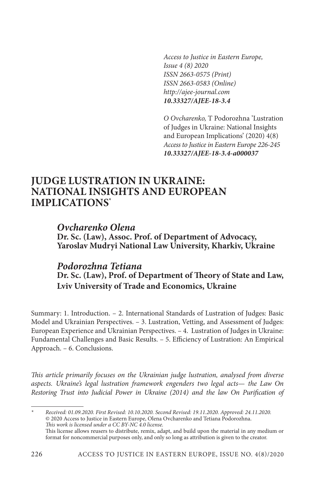*Access to Justice in Eastern Europe, Issue 4 (8) 2020 ISSN 2663-0575 (Print) ISSN 2663-0583 (Online) http://ajee-journal.com 10.33327/AJEE-18-3.4*

*O Ovcharenko,* T Podorozhna 'Lustration of Judges in Ukraine: National Insights and European Implications' (2020) 4(8) *Access to Justice in Eastern Europe 226-245 10.33327/AJEE-18-3.4-a000037*

# **JUDGE LUSTRATION IN UKRAINE: NATIONAL INSIGHTS AND EUROPEAN IMPLICATIONS\***

*Ovcharenko Olena* **Dr. Sc. (Law), Assoc. Prof. of Department of Advocacy, Yaroslav Mudryi National Law University, Kharkiv, Ukraine**

# *Podorozhna Tetiana* **Dr. Sc. (Law), Prof. of Department of Theory of State and Law, Lviv University of Trade and Economics, Ukraine**

Summary: 1. Introduction. – 2. International Standards of Lustration of Judges: Basic Model and Ukrainian Perspectives. – 3. Lustration, Vetting, and Assessment of Judges: European Experience and Ukrainian Perspectives. – 4. Lustration of Judges in Ukraine: Fundamental Challenges and Basic Results. – 5. Efficiency of Lustration: An Empirical Approach. – 6. Conclusions.

*This article primarily focuses on the Ukrainian judge lustration, analysed from diverse aspects. Ukraine's legal lustration framework engenders two legal acts*— *the Law On Restoring Trust into Judicial Power in Ukraine (2014) and the law On Purification of* 

*\* Received: 01.09.2020. First Revised: 10.10.2020. Second Revised: 19.11.2020. Approved: 24.11.2020.* © 2020 Access to Justice in Eastern Europe, Olena Ovcharenko and Tetiana Podorozhna. *This work is licensed under a CC BY-NC 4.0 license.* This license allows reusers to distribute, remix, adapt, and build upon the material in any medium or format for noncommercial purposes only, and only so long as attribution is given to the creator.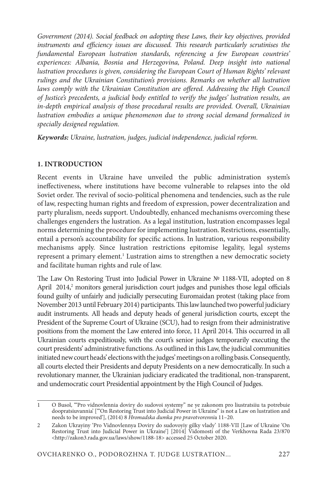*Government (2014). Social feedback on adopting these Laws, their key objectives, provided instruments and efficiency issues are discussed. This research particularly scrutinises the fundamental European lustration standards, referencing a few European countries' experiences: Albania, Bosnia and Herzegovina, Poland. Deep insight into national lustration procedures is given, considering the European Court of Human Rights' relevant rulings and the Ukrainian Constitution's provisions. Remarks on whether all lustration*  laws comply with the Ukrainian Constitution are offered. Addressing the High Council *of Justice's precedents, a judicial body entitled to verify the judges' lustration results, an in-depth empirical analysis of those procedural results are provided. Overall, Ukrainian lustration embodies a unique phenomenon due to strong social demand formalized in specially designed regulation.*

*Keywords: Ukraine, lustration, judges, judicial independence, judicial reform.*

### **1. INTRODUCTION**

Recent events in Ukraine have unveiled the public administration system's ineffectiveness, where institutions have become vulnerable to relapses into the old Soviet order. The revival of socio-political phenomena and tendencies, such as the rule of law, respecting human rights and freedom of expression, power decentralization and party pluralism, needs support. Undoubtedly, enhanced mechanisms overcoming these challenges engenders the lustration. As a legal institution, lustration encompasses legal norms determining the procedure for implementing lustration. Restrictions, essentially, entail a person's accountability for specific actions. In lustration, various responsibility mechanisms apply. Since lustration restrictions epitomise legality, legal systems represent a primary element.<sup>1</sup> Lustration aims to strengthen a new democratic society and facilitate human rights and rule of law.

The Law On Restoring Trust into Judicial Power in Ukraine № 1188-VІІ, adopted on 8 April 2014,<sup>2</sup> monitors general jurisdiction court judges and punishes those legal officials found guilty of unfairly and judicially persecuting Euromaidan protest (taking place from November 2013 until February 2014) participants. This law launched two powerful judiciary audit instruments. All heads and deputy heads of general jurisdiction courts, except the President of the Supreme Court of Ukraine (SCU), had to resign from their administrative positions from the moment the Law entered into force, 11 April 2014. This occurred in all Ukrainian courts expeditiously, with the court's senior judges temporarily executing the court presidents' administrative functions. As outlined in this Law, the judicial communities initiated new court heads' elections with the judges' meetings on a rolling basis. Consequently, all courts elected their Presidents and deputy Presidents on a new democratically. In such a revolutionary manner, the Ukrainian judiciary eradicated the traditional, non-transparent, and undemocratic court Presidential appointment by the High Council of Judges.

<sup>1</sup> O Busol, '"Pro vidnovlennia doviry do sudovoi systemy" ne ye zakonom pro liustratsiiu ta potrebuie doopratsiuvannia' ['"On Restoring Trust into Judicial Power in Ukraine" is not a Law on lustration and needs to be improved'], (2014) 8 *Hromadska dumka pro pravotvorenni*a 11–20.

<sup>2</sup> Zakon Ukrayiny 'Pro Vidnovlennya Doviry do sudovoyiy gilky vlady' 1188-VІІ [Law of Ukraine 'On Restoring Trust into Judicial Power in Ukraine'] [2014] Vidomosti of the Verkhovna Rada 23/870 <http://zakon3.rada.gov.ua/laws/show/1188-18> accessed 25 October 2020.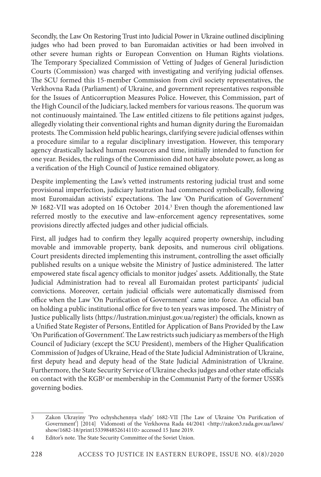Secondly, the Law On Restoring Trust into Judicial Power in Ukraine outlined disciplining judges who had been proved to ban Euromaidan activities or had been involved in other severe human rights or European Convention on Human Rights violations. The Temporary Specialized Commission of Vetting of Judges of General Jurisdiction Courts (Commission) was charged with investigating and verifying judicial offenses. The SCU formed this 15-member Commission from civil society representatives, the Verkhovna Rada (Parliament) of Ukraine, and government representatives responsible for the Issues of Anticorruption Measures Police. However, this Commission, part of the High Council of the Judiciary, lacked members for various reasons. The quorum was not continuously maintained. The Law entitled citizens to file petitions against judges, allegedly violating their conventional rights and human dignity during the Euromaidan protests. The Commission held public hearings, clarifying severe judicial offenses within a procedure similar to a regular disciplinary investigation. However, this temporary agency drastically lacked human resources and time, initially intended to function for one year. Besides, the rulings of the Commission did not have absolute power, as long as a verification of the High Council of Justice remained obligatory.

Despite implementing the Law's vetted instruments restoring judicial trust and some provisional imperfection, judiciary lustration had commenced symbolically, following most Euromaidan activists' expectations. The law 'On Purification of Government' № 1682-VII was adopted on 16 October 2014.<sup>3</sup> Even though the aforementioned law referred mostly to the executive and law-enforcement agency representatives, some provisions directly affected judges and other judicial officials.

First, all judges had to confirm they legally acquired property ownership, including movable and immovable property, bank deposits, and numerous civil obligations. Court presidents directed implementing this instrument, controlling the asset officially published results on a unique website the Ministry of Justice administered. The latter empowered state fiscal agency officials to monitor judges' assets. Additionally, the State Judicial Administration had to reveal all Euromaidan protest participants' judicial convictions. Moreover, certain judicial officials were automatically dismissed from office when the Law 'On Purification of Government' came into force. An official ban on holding a public institutional office for five to ten years was imposed. The Ministry of Justice publically lists (https://lustration.minjust.gov.ua/register) the officials, known as a Unified State Register of Persons, Entitled for Application of Bans Provided by the Law 'On Purification of Government'. The Law restricts such judiciary as members of the High Council of Judiciary (except the SCU President), members of the Higher Qualification Commission of Judges of Ukraine, Head of the State Judicial Administration of Ukraine, first deputy head and deputy head of the State Judicial Administration of Ukraine. Furthermore, the State Security Service of Ukraine checks judges and other state officials on contact with the KGB<sup>4</sup> or membership in the Communist Party of the former USSR's governing bodies.

<sup>3</sup> Zakon Ukrayiny 'Pro ochyshchennya vlady' 1682-VII [The Law of Ukraine 'On Purification of Government<sup>'</sup>] [2014] Vidomosti of the Verkhovna Rada 44/2041 <http://zakon3.rada.gov.ua/laws/ show/1682-18/print1533984852614110> accessed 15 June 2019.

<sup>4</sup> Editor's note. The State Security Committee of the Soviet Union.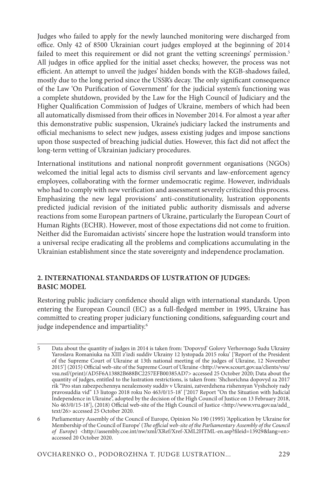Judges who failed to apply for the newly launched monitoring were discharged from office. Only 42 of 8500 Ukrainian court judges employed at the beginning of 2014 failed to meet this requirement or did not grant the vetting screenings' permission.<sup>5</sup> All judges in office applied for the initial asset checks; however, the process was not efficient. An attempt to unveil the judges' hidden bonds with the KGB-shadows failed, mostly due to the long period since the USSR's decay. The only significant consequence of the Law 'On Purification of Government' for the judicial system's functioning was a complete shutdown, provided by the Law for the High Council of Judiciary and the Higher Qualification Commission of Judges of Ukraine, members of which had been all automatically dismissed from their offices in November 2014. For almost a year after this demonstrative public suspension, Ukraine's judiciary lacked the instruments and official mechanisms to select new judges, assess existing judges and impose sanctions upon those suspected of breaching judicial duties. However, this fact did not affect the long-term vetting of Ukrainian judiciary procedures.

International institutions and national nonprofit government organisations (NGOs) welcomed the initial legal acts to dismiss civil servants and law-enforcement agency employees, collaborating with the former undemocratic regime. However, individuals who had to comply with new verification and assessment severely criticized this process. Emphasizing the new legal provisions' anti-constitutionality, lustration opponents predicted judicial revision of the initiated public authority dismissals and adverse reactions from some European partners of Ukraine, particularly the European Court of Human Rights (ECHR). However, most of those expectations did not come to fruition. Neither did the Euromaidan activists' sincere hope the lustration would transform into a universal recipe eradicating all the problems and complications accumulating in the Ukrainian establishment since the state sovereignty and independence proclamation.

#### **2. INTERNATIONAL STANDARDS OF LUSTRATION OF JUDGES: BASIC MODEL**

Restoring public judiciary confidence should align with international standards. Upon entering the European Council (EC) as a full-fledged member in 1995, Ukraine has committed to creating proper judiciary functioning conditions, safeguarding court and judge independence and impartiality.<sup>6</sup>

<sup>5</sup> Data about the quantity of judges in 2014 is taken from: 'Dopovyd' Golovy Verhovnogo Sudu Ukrainy Yaroslava Romaniuka na XIII z'izdi suddiv Ukrainy 12 lystopada 2015 roku' ['Report of the President of the Supreme Court of Ukraine at 13th national meeting of the judges of Ukraine, 12 November 2015'] (2015) Official web-site of the Supreme Court of Ukraine <http://www.scourt.gov.ua/clients/vsu/ vsu.nsf/(print)/AD5F6A13882B688BC2257EFB00385AD7> accessed 25 October 2020; Data about the quantity of judges, entitled to the lustration restrictions, is taken from: 'Shchorichna dopovyd za 2017 rik "Pro stan zabezpechennya nezaleznosty suddiv v Ukraini, zatverdzhena rishennyan Vyshchoiy rady pravosuddia vid" 13 liutogo 2018 roku No 463/0/15-18' ['2017 Report "On the Situation with Judicial Independence in Ukraine", adopted by the decision of the High Council of Justice on 13 February 2018, No 463/0/15-18'], (2018) Official web-site of the High Council of Justice <http://www.vru.gov.ua/add\_ text/26> accessed 25 October 2020.

<sup>6</sup> Parliamentary Assembly of the Council of Europe, Opinion No 190 (1995) 'Application by Ukraine for Membership of the Council of Europe' (*The official web-site of the Parliamentary Assembly of the Council of Europe*) <http://assembly.coe.int/nw/xml/XRef/Xref-XML2HTML-en.asp?fileid=13929&lang=en> accessed 20 October 2020.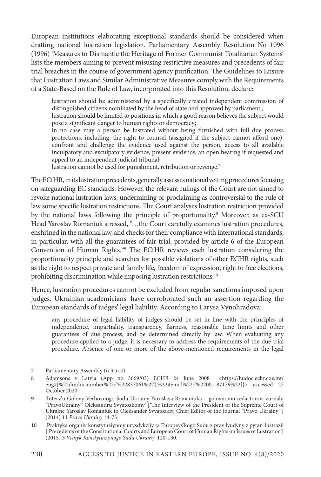European institutions elaborating exceptional standards should be considered when drafting national lustration legislation. Parliamentary Assembly Resolution No 1096 (1996) 'Measures to Dismantle the Heritage of Former Communist Totalitarian Systems' lists the members aiming to prevent misusing restrictive measures and precedents of fair trial breaches in the course of government agency purification. The Guidelines to Ensure that Lustration Laws and Similar Administrative Measures comply with the Requirements of a State-Based on the Rule of Law, incorporated into this Resolution, declare:

lustration should be administered by a specifically created independent commission of distinguished citizens nominated by the head of state and approved by parliament';

lustration should be limited to positions in which a good reason believes the subject would pose a significant danger to human rights or democracy;

in no case may a person be lustrated without being furnished with full due process protections, including, the right to counsel (assigned if the subject cannot afford one), confront and challenge the evidence used against the person, access to all available inculpatory and exculpatory evidence, present evidence, an open hearing if requested and appeal to an independent judicial tribunal;

lustration cannot be used for punishment, retribution or revenge.<sup>7</sup>

The ECtHR, in its lustration precedents, generally assesses national vetting procedures focusing on safeguarding EC standards. However, the relevant rulings of the Court are not aimed to revoke national lustration laws, undermining or proclaiming as controversial to the rule of law some specific lustration restrictions. The Court analyses lustration restriction provided by the national laws following the principle of proportionality.<sup>8</sup> Moreover, as ex-SCU Head Yaroslav Romaniuk stressed, "…the Court carefully examines lustration procedures, enshrined in the national law, and checks for their compliance with international standards, in particular, with all the guarantees of fair trial, provided by article 6 of the European Convention of Human Rights."9 The ECtHR reviews each lustration considering the proportionality principle and searches for possible violations of other ECHR rights, such as the right to respect private and family life, freedom of expression, right to free elections, prohibiting discrimination while imposing lustration restrictions.<sup>10</sup>

Hence, lustration procedures cannot be excluded from regular sanctions imposed upon judges. Ukrainian academicians' have corroborated such an assertion regarding the European standards of judges' legal liability. According to Larysa Vynohradova:

any procedure of legal liability of judges should be set in line with the principles of independence, impartiality, transparency, fairness, reasonable time limits and other guarantees of due process, and be determined directly by law. When evaluating any procedure applied to a judge, it is necessary to address the requirements of the due trial procedure. Absence of one or more of the above-mentioned requirements in the legal

<sup>7</sup> Parliamentary Assembly (n 3, n 4).

<sup>8</sup> Adamsons v Latvia (App no 3669/03) ECHR 24 June 2008 <https://hudoc.echr.coe.int/ eng#{%22dmdocnumber%22:[%22837061%22],%22itemid%22:[%22001-87179%22]}> accessed 27 October 2020.

<sup>9</sup> 'Interv'u Golovy Verhovnogo Sudu Ukrainy Yaroslava Romaniuka – golovnomu redactorovi zurnalu "PravoUkrainy" Oleksandru Svyatozkomy' ['The Interview of the President of the Supreme Court of Ukraine Yaroslav Romaniuk to Oleksander Svyatozkiy, Chief Editor of the Journal "Pravo Ukrainy"'] (2014) 11 *Pravo Ukrainy* 14-73.

<sup>10</sup> 'Praktyka organiv konstytuziynoiy urysdykziiy ta Europeys'kogo Sudu z prav lyudyny z pytan' lustrazii ['Precedents of the Constitutional Courts and European Court of Human Rights on Issues of Lustration'] (2015) 3 *Visnyk Konstytuziynogo Sudu Ukrainy* 120-130.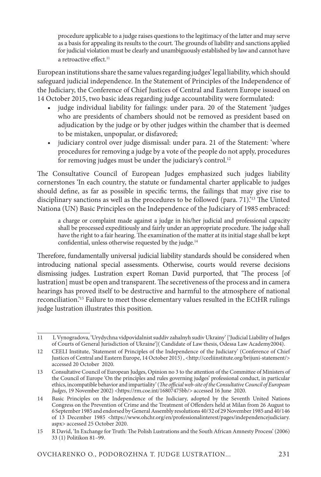procedure applicable to a judge raises questions to the legitimacy of the latter and may serve as a basis for appealing its results to the court. The grounds of liability and sanctions applied for judicial violation must be clearly and unambiguously established by law and cannot have a retroactive effect.<sup>11</sup>

European institutions share the same values regarding judges' legal liability, which should safeguard judicial independence. In the Statement of Principles of the Independence of the Judiciary, the Conference of Chief Justices of Central and Eastern Europe issued on 14 October 2015, two basic ideas regarding judge accountability were formulated:

- judge individual liability for failings: under para. 20 of the Statement 'judges who are presidents of chambers should not be removed as president based on adjudication by the judge or by other judges within the chamber that is deemed to be mistaken, unpopular, or disfavored;
- judiciary control over judge dismissal: under para. 21 of the Statement: 'where procedures for removing a judge by a vote of the people do not apply, procedures for removing judges must be under the judiciary's control.<sup>12</sup>

The Consultative Council of European Judges emphasized such judges liability cornerstones 'In each country, the statute or fundamental charter applicable to judges should define, as far as possible in specific terms, the failings that may give rise to disciplinary sanctions as well as the procedures to be followed (para. 71).'13 The Uinted Nationa (UN) Basic Principles on the Independence of the Judiciary of 1985 embraced:

a charge or complaint made against a judge in his/her judicial and professional capacity shall be processed expeditiously and fairly under an appropriate procedure. The judge shall have the right to a fair hearing. The examination of the matter at its initial stage shall be kept confidential, unless otherwise requested by the judge.14

Therefore, fundamentally universal judicial liability standards should be considered when introducing national special assessments. Otherwise, courts would reverse decisions dismissing judges. Lustration expert Roman David purported, that 'The process [of lustration] must be open and transparent. The secretiveness of the process and in camera hearings has proved itself to be destructive and harmful to the atmosphere of national reconciliation.'15 Failure to meet those elementary values resulted in the ECtHR rulings judge lustration illustrates this position.

<sup>11</sup> L Vynogradova, 'Urydychna vidpovidalnist suddiv zahalnyh sudiv Ukrainy' ['Judicial Liability of Judges of Courts of General Jurisdiction of Ukraine']( Candidate of Law thesis, Odessa Law Academy2004).

<sup>12</sup> CEELI Institute, 'Statement of Principles of the Independence of the Judiciary' (Conference of Chief Justices of Central and Eastern Europe, 14 October 2015), <http://ceeliinstitute.org/brijuni-statement/> accessed 20 October 2020.

<sup>13</sup> Consultative Council of European Judges, Opinion no 3 to the attention of the Committee of Ministers of the Council of Europe 'On the principles and rules governing judges' professional conduct, in particular ethics, incompatible behavior and impartiality' (*The official web-site of the Consultative Council of European Judges*, 19 November 2002) <https://rm.coe.int/16807475bb/> accessed 16 June 2020.

<sup>14</sup> Basic Principles on the Independence of the Judiciary, adopted by the Seventh United Nations Congress on the Prevention of Crime and the Treatment of Offenders held at Milan from 26 August to 6 September 1985 and endorsed by General Assembly resolutions 40/32 of 29 November 1985 and 40/146 of 13 December 1985 <https://www.ohchr.org/en/professionalinterest/pages/independencejudiciary. aspx> accessed 25 October 2020.

<sup>15</sup> R David, 'In Exchange for Truth: The Polish Lustrations and the South African Amnesty Process' (2006) 33 (1) Politikon 81–99.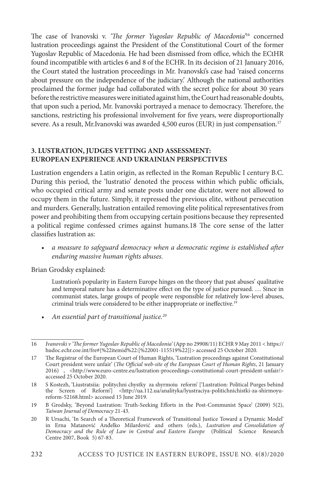The case of Ivanovski v. *'The former Yugoslav Republic of Macedonia'*16 concerned lustration proceedings against the President of the Constitutional Court of the former Yugoslav Republic of Macedonia. He had been dismissed from office, which the ECtHR found incompatible with articles 6 and 8 of the ECHR. In its decision of 21 January 2016, the Court stated the lustration proceedings in Mr. Ivanovski's case had 'raised concerns about pressure on the independence of the judiciary.' Although the national authorities proclaimed the former judge had collaborated with the secret police for about 30 years before the restrictive measures were initiated against him, the Court had reasonable doubts, that upon such a period, Mr. Ivanovski portrayed a menace to democracy. Therefore, the sanctions, restricting his professional involvement for five years, were disproportionally severe. As a result, Mr.Ivanovski was awarded 4,500 euros (EUR) in just compensation.<sup>17</sup>

#### **3. LUSTRATION, JUDGES VETTING AND ASSESSMENT: EUROPEAN EXPERIENCE AND UKRAINIAN PERSPECTIVES**

Lustration engenders a Latin origin, as reflected in the Roman Republic I century B.C. During this period, the 'lustratio' denoted the process within which public officials, who occupied critical army and senate posts under one dictator, were not allowed to occupy them in the future. Simply, it repressed the previous elite, without persecution and murders. Generally, lustration entailed removing elite political representatives from power and prohibiting them from occupying certain positions because they represented a political regime confessed crimes against humans.18 The core sense of the latter classifies lustration as:

• *a measure to safeguard democracy when a democratic regime is established after enduring massive human rights abuses.*

Brian Grodsky explained:

Lustration's popularity in Eastern Europe hinges on the theory that past abuses' qualitative and temporal nature has a determinative effect on the type of justice pursued. … Since in communist states, large groups of people were responsible for relatively low-level abuses, criminal trials were considered to be either inappropriate or ineffective.19

*• An essential part of transitional justice.20*

- 18 S Kostezh, 'Liustratsiia: politychni chystky za shyrmoiu reform' ['Lustration: Political Purges behind the Screen of Reform'] <http://ua.112.ua/analityka/lyustraciya-politichnichistki-za-shirmoyureform-52168.html> accessed 15 June 2019.
- 19 B Grodsky, 'Beyond Lustration: Truth-Seeking Efforts in the Post-Communist Space' (2009) 5(2), *Taiwan Journal of Democracy* 21-43.

<sup>16</sup> *Ivanovski v 'The former Yugoslav Republic of Macedonia'* (App no 29908/11) ECHR 9 May 2011 < https:// hudoc.echr.coe.int/fre#{%22itemid%22:[%22001-115519%22]}> accessed 25 October 2020.

<sup>17</sup> The Registrar of the European Court of Human Rights, 'Lustration proceedings against Constitutional Court president were unfair' (*The Official web-site of the European Court of Human Rights*, 21 January 2016) , <http://www.euro-centre.eu/lustration-proceedings-constitutional-court-president-unfair/> accessed 25 October 2020.

<sup>20</sup> R Ursachi, 'In Search of a Theoretical Framework of Transitional Justice Toward a Dynamic Model' in Erna Matanović Anđelko Milardović and others (eds.), *Lustration and Consolidation of Democracy and the Rule of Law in Central and Eastern Europe* (Political Science Research Centre 2007, Book 5) 67-83.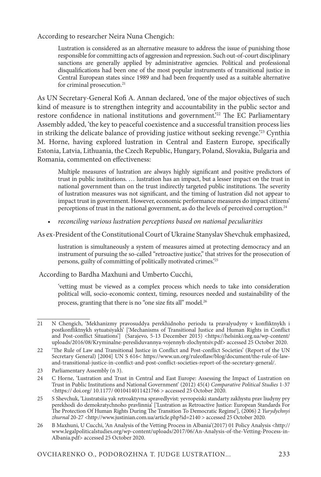According to researcher Neira Nuna Chengich:

Lustration is considered as an alternative measure to address the issue of punishing those responsible for committing acts of aggression and repression. Such out-of-court disciplinary sanctions are generally applied by administrative agencies. Political and professional disqualifications had been one of the most popular instruments of transitional justice in Central European states since 1989 and had been frequently used as a suitable alternative for criminal prosecution.<sup>21</sup>

As UN Secretary-General Kofi A. Annan declared, 'one of the major objectives of such kind of measure is to strengthen integrity and accountability in the public sector and restore confidence in national institutions and government.'22 The EC Parliamentary Assembly added, 'the key to peaceful coexistence and a successful transition process lies in striking the delicate balance of providing justice without seeking revenge.<sup>23</sup> Cynthia M. Horne, having explored lustration in Central and Eastern Europe, specifically Estonia, Latvia, Lithuania, the Czech Republic, Hungary, Poland, Slovakia, Bulgaria and Romania, commented on effectiveness:

Multiple measures of lustration are always highly significant and positive predictors of trust in public institutions. … lustration has an impact, but a lesser impact on the trust in national government than on the trust indirectly targeted public institutions. The severity of lustration measures was not significant, and the timing of lustration did not appear to impact trust in government. However, economic performance measures do impact citizens' perceptions of trust in the national government, as do the levels of perceived corruption.24

*• reconciling various lustration perceptions based on national peculiarities*

As ex-President of the Constitutional Court of Ukraine Stanyslav Shevchuk emphasized,

lustration is simultaneously a system of measures aimed at protecting democracy and an instrument of pursuing the so-called "retroactive justice," that strives for the prosecution of persons, guilty of committing of politically motivated crimes.'25

According to Bardha Maxhuni and Umberto Cucchi,

'vetting must be viewed as a complex process which needs to take into consideration political will, socio-economic context, timing, resources needed and sustainability of the process, granting that there is no "one size fits all" model.<sup>26</sup>

<sup>21</sup> N Chengich, 'Mekhanizmy pravosuddya perekhidnoho periodu ta pravalyudyny v konfliktnykh i postkonfliktnykh sytuatsiyakh' ['Mechanisms of Transitional Justice and Human Rights in Conflict and Post-conflict Situations'] (Sarajevo, 5-13 December 2015) <https://helsinki.org.ua/wp-content/ uploads/2016/08/Kryminalne-peresliduvannya-vojennyh-zlochyntsiv.pdf> accessed 25 October 2020.

<sup>22</sup> 'The Rule of Law and Transitional Justice in Conflict and Post-conflict Societies' (Report of the UN Secretary General) [2004] UN S 616< https://www.un.org/ruleoflaw/blog/document/the-rule-of-lawand-transitional-justice-in-conflict-and-post-conflict-societies-report-of-the-secretary-general/.

<sup>23</sup> Parliamentary Assembly (n 3).

<sup>24</sup> C Horne, 'Lustration and Trust in Central and East Europe: Assessing the Impact of Lustration on Trust in Public Institutions and National Government' (2012) 45(4) *Comparative Political Studies* 1-37 <https:// doi.org/ 10.1177/ 0010414011421766 > accessed 25 October 2020.

<sup>25</sup> S Shevchuk, 'Liustratsiia yak retroaktyvna spravedlyvist: yevropeiski standarty zakhystu prav liudyny pry perekhodi do demokratychnoho pravlinnia' ['Lustration as Retroactive Justice: European Standards For The Protection Of Human Rights During The Transition To Democratic Regime'], (2006) 2 *Yurydychnyi zhurnal* 20-27 <http://www.justinian.com.ua/article.php?id=2140 > accessed 25 October 2020.

<sup>26</sup> B Maxhuni, U Cucchi, 'An Analysis of the Vetting Process in Albania'(2017) 01 Policy Analysis <http:// www.legalpoliticalstudies.org/wp-content/uploads/2017/06/An-Analysis-of-the-Vetting-Process-in-Albania.pdf> accessed 25 October 2020.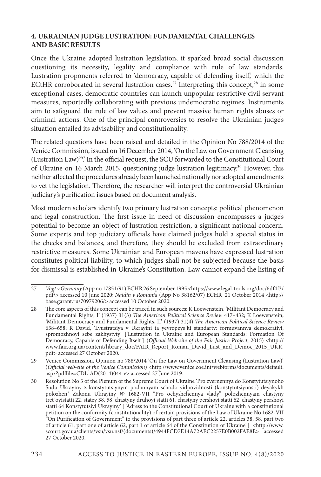#### **4. UKRAINIAN JUDGE LUSTRATION: FUNDAMENTAL CHALLENGES AND BASIC RESULTS**

Once the Ukraine adopted lustration legislation, it sparked broad social discussion questioning its necessity, legality and compliance with rule of law standards. Lustration proponents referred to 'democracy, capable of defending itself', which the ECtHR corroborated in several lustration cases.<sup>27</sup> Interpreting this concept,<sup>28</sup> in some exceptional cases, democratic countries can launch unpopular restrictive civil servant measures, reportedly collaborating with previous undemocratic regimes. Instruments aim to safeguard the rule of law values and prevent massive human rights abuses or criminal actions. One of the principal controversies to resolve the Ukrainian judge's situation entailed its advisability and constitutionality.

The related questions have been raised and detailed in the Opinion No 788/2014 of the Venice Commission, issued on 16 December 2014, 'On the Law on Government Cleansing (Lustration Law)29.' In the official request, the SCU forwarded to the Constitutional Court of Ukraine on 16 March 2015, questioning judge lustration legitimacy.<sup>30</sup> However, this neither affected the procedures already been launched nationally nor adopted amendments to vet the legislation. Therefore, the researcher will interpret the controversial Ukrainian judiciary's purification issues based on document analysis.

Most modern scholars identify two primary lustration concepts: political phenomenon and legal construction. The first issue in need of discussion encompasses a judge's potential to become an object of lustration restriction, a significant national concern. Some experts and top judiciary officials have claimed judges hold a special status in the checks and balances, and therefore, they should be excluded from extraordinary restrictive measures. Some Ukrainian and European mavens have expressed lustration constitutes political liability, to which judges shall not be subjected because the basis for dismissal is established in Ukraine's Constitution. Law cannot expand the listing of

<sup>27</sup> *Vogt v Germany* (App no 17851/91) ECHR 26 September 1995 <https://www.legal-tools.org/doc/6df4f3/ pdf/> accessed 10 June 2020; *Naidin v Romania* (App No 38162/07) ECHR 21 October 2014 <http:// base.garant.ru/70979206/> accessed 10 October 2020.

<sup>28</sup> The core aspects of this concept can be traced in such sources: K Loewenstein, 'Militant Democracy and Fundamental Rights, I' (1937) 31(3) *The American Political Science Review* 417–432; K Loewenstein, 'Militant Democracy and Fundamental Rights, II' (1937) 31(4) *The American Political Science Review*  638–658; R David, 'Lyustratsiya v Ukrayini ta yevropeys΄ki standarty: formuvannya demokratiyi, spromozhnoyi sebe zakhystyty' ['Lustration in Ukraine and European Standards: Formation Of Democracy, Capable of Defending Itself '] (*Official Web-site of the Fair Justice Project*, 2015) <http:// www.fair.org.ua/content/library\_doc/FAIR\_Report\_Roman\_David\_Lust\_and\_Democ\_2015\_UKR. pdf> accessed 27 October 2020.

<sup>29</sup> Venice Commission, Opinion no 788/2014 'On the Law on Government Cleansing (Lustration Law)' (*Official web-site of the Venice Commission*) <http://www.venice.coe.int/webforms/documents/default. aspx?pdffile=CDL-AD(2014)044-e> accessed 27 June 2019.

<sup>30</sup> Resolution No 3 of the Plenum of the Supreme Court of Ukraine 'Pro zvernennya do Konstytutsiynoho Sudu Ukrayiny z konstytutsiynym podannyam schodo vidpovidnosti (konstytutsiynosti) deyakykh polozhen΄ Zakonu Ukrayiny № 1682-VII "Pro ochyshchennya vlady" polozhennyam chastyny tret΄oyistatti 22, statey 38, 58, chastyny druhoyi statti 61, chastyny pershoyi statti 62, chastyny pershoyi statti 64 Konstytutsiyi Ukrayiny' [ 'Adress to the Constitutional Court of Ukraine with a constitutional petition on the conformity (constitutionality) of certain provisions of the Law of Ukraine No 1682-VІІ "On Purification of Government" to the provisions of part three of article 22, articles 38, 58, part two of article 61, part one of article 62, part 1 of article 64 of the Constitution of Ukraine"  $\vert$  <http://www. scourt.gov.ua/clients/vsu/vsu.nsf/(documents)/4944FCD7E14A72AEC2257E0B002FAE8E> accessed 27 October 2020.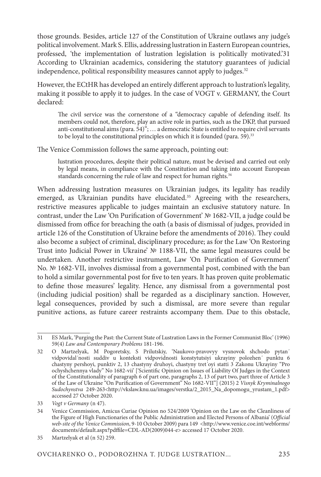those grounds. Besides, article 127 of the Constitution of Ukraine outlaws any judge's political involvement. Mark S. Ellis, addressing lustration in Eastern European countries, professed, 'the implementation of lustration legislation is politically motivated.'31 According to Ukrainian academics, considering the statutory guarantees of judicial independence, political responsibility measures cannot apply to judges.<sup>32</sup>

However, the ECtHR has developed an entirely different approach to lustration's legality, making it possible to apply it to judges. In the case of VOGT v. GERMANY, the Court declared:

The civil service was the cornerstone of a "democracy capable of defending itself. Its members could not, therefore, play an active role in parties, such as the DKP, that pursued anti-constitutional aims (para. 54)"; … a democratic State is entitled to require civil servants to be loyal to the constitutional principles on which it is founded (para.  $59$ ).<sup>33</sup>

The Venice Commission follows the same approach, pointing out:

lustration procedures, despite their political nature, must be devised and carried out only by legal means, in compliance with the Constitution and taking into account European standards concerning the rule of law and respect for human rights.<sup>34</sup>

When addressing lustration measures on Ukrainian judges, its legality has readily emerged, as Ukrainian pundits have elucidated.<sup>35</sup> Agreeing with the researchers, restrictive measures applicable to judges maintain an exclusive statutory nature. In contrast, under the Law 'On Purification of Government' № 1682-VII, a judge could be dismissed from office for breaching the oath (a basis of dismissal of judges, provided in article 126 of the Constitution of Ukraine before the amendments of 2016). They could also become a subject of criminal, disciplinary procedure; as for the Law 'On Restoring Trust into Judicial Power in Ukraine' № 1188-VII, the same legal measures could be undertaken. Another restrictive instrument, Law 'On Purification of Government' No. № 1682-VII, involves dismissal from a governmental post, combined with the ban to hold a similar governmental post for five to ten years. It has proven quite problematic to define those measures' legality. Hence, any dismissal from a governmental post (including judicial position) shall be regarded as a disciplinary sanction. However, legal consequences, provided by such a dismissal, are more severe than regular punitive actions, as future career restraints accompany them. Due to this obstacle,

<sup>31</sup> ES Mark, 'Purging the Past: the Current State of Lustration Laws in the Former Communist Bloc' (1996) 59(4) *Law and Contemporary Problems* 181-196.

<sup>32</sup> O Martzelyak, M Pogoretsky, S Prilutskiy, 'Naukovo-pravovyy vysnovok shchodo pytan΄ vidpovidal΄nosti suddiv u konteksti vidpovidnosti konstytutsiyi ukrayiny polozhen΄ punktu 6 chastyny pershoyi, punktiv 2, 13 chastyny druhoyi, chastyny tret΄oyi statti 3 Zakonu Ukrayiny "Pro ochyshchennya vlady" No 1682-vii' ['Scientific Opinion on Issues of Liability Of Judges in the Context of the Constitutionality of paragraph 6 of part one, paragraphs 2, 13 of part two, part three of Article 3 of the Law of Ukraine "On Purification of Government" No 1682-VII"] (2015) 2 *Visnyk Kryminalnogo Sudochynstva* 249-263<http://vkslaw.knu.ua/images/verstka/2\_2015\_Na\_dopomogu\_yrustam\_1.pdf> accessed 27 October 2020.

<sup>33</sup> *Vogt v Germany* (n 47).

<sup>34</sup> Venice Commission, Amicus Curiae Opinion no 524/2009 'Opinion on the Law on the Cleanliness of the Figure of High Functionaries of the Public Administration and Elected Persons of Albania' (*Official*  web-site of the Venice Commission, 9-10 October 2009) para 149 <http://www.venice.coe.int/webforms/ documents/default.aspx?pdffile=CDL-AD(2009)044-e> aссessed 17 October 2020.

<sup>35</sup> Martzelyak et al (n 52) 259.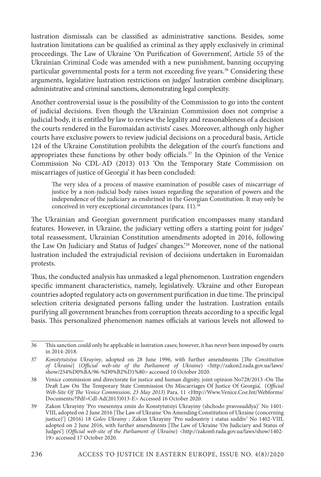lustration dismissals can be classified as administrative sanctions. Besides, some lustration limitations can be qualified as criminal as they apply exclusively in criminal proceedings. The Law of Ukraine 'On Purification of Government', Article 55 of the Ukrainian Criminal Code was amended with a new punishment, banning occupying particular governmental posts for a term not exceeding five years.<sup>36</sup> Considering these arguments, legislative lustration restrictions on judges' lustration combine disciplinary, administrative and criminal sanctions, demonstrating legal complexity.

Another controversial issue is the possibility of the Commission to go into the content of judicial decisions. Even though the Ukrainian Commission does not comprise a judicial body, it is entitled by law to review the legality and reasonableness of a decision the courts rendered in the Euromaidan activists' cases. Moreover, although only higher courts have exclusive powers to review judicial decisions on a procedural basis, Article 124 of the Ukraine Constitution prohibits the delegation of the court's functions and appropriates these functions by other body officials.<sup>37</sup> In the Opinion of the Venice Commission No CDL-AD (2013) 013 'On the Temporary State Commission on miscarriages of justice of Georgia' it has been concluded:

The very idea of a process of massive examination of possible cases of miscarriage of justice by a non-judicial body raises issues regarding the separation of powers and the independence of the judiciary as enshrined in the Georgian Constitution. It may only be conceived in very exceptional circumstances (para. 11).<sup>38</sup>

The Ukrainian and Georgian government purification encompasses many standard features. However, in Ukraine, the judiciary vetting offers a starting point for judges' total reassessment, Ukrainian Constitution amendments adopted in 2016, following the Law On Judiciary and Status of Judges' changes.'39 Moreover, none of the national lustration included the extrajudicial revision of decisions undertaken in Euromaidan protests.

Thus, the conducted analysis has unmasked a legal phenomenon. Lustration engenders specific immanent characteristics, namely, legislatively. Ukraine and other European countries adopted regulatory acts on government purification in due time. The principal selection criteria designated persons falling under the lustration. Lustration entails purifying all government branches from corruption threats according to a specific legal basis. This personalized phenomenon names officials at various levels not allowed to

<sup>36</sup> This sanction could only be applicable in lustration cases; however, it has never been imposed by courts in 2014-2018.

<sup>37</sup> *Konstytutsiya Ukrayiny*, adopted on 28 June 1996, with further amendments [*The Constitution of Ukraine*] (*Official web-site of the Parliament of Ukraine*) <http://zakon2.rada.gov.ua/laws/ show/254%D0%BA/96-%D0%B2%D1%80> accessed 10 October 2020.

<sup>38</sup> Venice commission and directorate for justice and human dignity, joint opinion No728/2013 ‹On The Draft Law On The Temporary State Commission On Miscarriages Of Justice Of Georgia', (*Official Web-Site Of The Venice Commission, 23 May 2013*) Para. 11 <Http://Www.Venice.Coe.Int/Webforms/ Documents/?Pdf=Cdl-Ad(2013)013-E> Accessed 16 October 2020.

<sup>39</sup> Zakon Ukrayiny 'Pro vnesennya zmin do Konstytutsiyi Ukrayiny (shchodo pravosuddya)' No 1401- VIII, adopted on 2 June 2016 [The Law of Ukraine 'On Amending Constitution of Ukraine (concerning justice)'] (2016) 18 *Golos Ukrainy* ; Zakon Ukrayiny 'Pro sudoustriy i status suddiv' No 1402-VIII, adopted on 2 June 2016, with further amendments [The Law of Ukraine 'On Judiciary and Status of Judges'] (*Official web-site of the Parliament of Ukraine*) <http://zakon0.rada.gov.ua/laws/show/1402- 19> accessed 17 October 2020.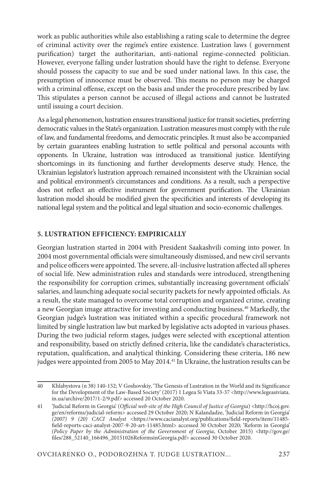work as public authorities while also establishing a rating scale to determine the degree of criminal activity over the regime's entire existence. Lustration laws ( government purification) target the authoritarian, anti-national regime-connected politician. However, everyone falling under lustration should have the right to defense. Everyone should possess the capacity to sue and be sued under national laws. In this case, the presumption of innocence must be observed. This means no person may be charged with a criminal offense, except on the basis and under the procedure prescribed by law. This stipulates a person cannot be accused of illegal actions and cannot be lustrated until issuing a court decision.

As a legal phenomenon, lustration ensures transitional justice for transit societies, preferring democratic values in the State's organization. Lustration measures must comply with the rule of law, and fundamental freedoms, and democratic principles. It must also be accompanied by certain guarantees enabling lustration to settle political and personal accounts with opponents. In Ukraine, lustration was introduced as transitional justice. Identifying shortcomings in its functioning and further developments deserve study. Hence, the Ukrainian legislator's lustration approach remained inconsistent with the Ukrainian social and political environment's circumstances and conditions. As a result, such a perspective does not reflect an effective instrument for government purification. The Ukrainian lustration model should be modified given the specificities and interests of developing its national legal system and the political and legal situation and socio-economic challenges.

#### **5. LUSTRATION EFFICIENCY: EMPIRICALLY**

Georgian lustration started in 2004 with President Saakashvili coming into power. In 2004 most governmental officials were simultaneously dismissed, and new civil servants and police officers were appointed. The severe, all-inclusive lustration affected all spheres of social life. New administration rules and standards were introduced, strengthening the responsibility for corruption crimes, substantially increasing government officials' salaries, and launching adequate social security packets for newly appointed officials. As a result, the state managed to overcome total corruption and organized crime, creating a new Georgian image attractive for investing and conducting business.40 Markedly, the Georgian judge's lustration was initiated within a specific procedural framework not limited by single lustration law but marked by legislative acts adopted in various phases. During the two judicial reform stages, judges were selected with exceptional attention and responsibility, based on strictly defined criteria, like the candidate's characteristics, reputation, qualification, and analytical thinking. Considering these criteria, 186 new judges were appointed from 2005 to May 2014.<sup>41</sup> In Ukraine, the lustration results can be

<sup>40</sup> Khlabystova (n 38) 140-152; V Goshovskiy, 'The Genesis of Lustration in the World and its Significance for the Development of the Law-Based Society' (2017) 1 Legea Si Viata 33-37 <http://www.legeasiviata. in.ua/archive/2017/1-2/9.pdf> accessed 20 October 2020.

<sup>41</sup> 'Judicial Reform in Georgia' (*Official web-site of the High Council of Justice of Georgia*) <http://hcoj.gov. ge/en/reforms/judicial-reform> accessed 29 October 2020; N Kalandadze, 'Judicial Reform in Georgia' *(2007) 9 (20) CACI Analyst* <https://www.cacianalyst.org/publications/field-reports/item/11485 field-reports-caci-analyst-2007-9-20-art-11485.html> accessed 30 October 2020; 'Reform in Georgia' (*Policy Paper by the Administration of the Government of Georgia*, October 2015) <http://gov.ge/ files/288\_52140\_166496\_20151026ReformsinGeorgia.pdf> accessed 30 October 2020.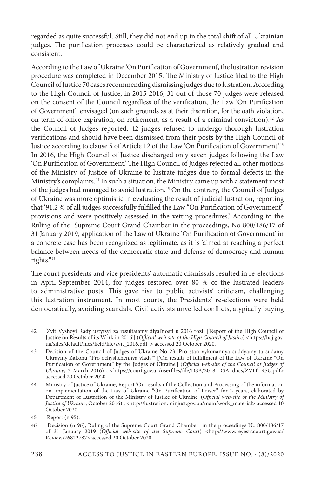regarded as quite successful. Still, they did not end up in the total shift of all Ukrainian judges. The purification processes could be characterized as relatively gradual and consistent.

According to the Law of Ukraine 'On Purification of Government', the lustration revision procedure was completed in December 2015. The Ministry of Justice filed to the High Council of Justice 70 cases recommending dismissing judges due to lustration. According to the High Council of Justice, in 2015-2016, 31 out of those 70 judges were released on the consent of the Council regardless of the verification, the Law 'On Purification of Government' envisaged (on such grounds as at their discretion, for the oath violation, on term of office expiration, on retirement, as a result of a criminal conviction).<sup>42</sup> As the Council of Judges reported, 42 judges refused to undergo thorough lustration verifications and should have been dismissed from their posts by the High Council of Justice according to clause 5 of Article 12 of the Law 'On Purification of Government.'43 In 2016, the High Council of Justice discharged only seven judges following the Law 'On Purification of Government.' The High Council of Judges rejected all other motions of the Ministry of Justice of Ukraine to lustrate judges due to formal defects in the Ministry's complaints.<sup>44</sup> In such a situation, the Ministry came up with a statement most of the judges had managed to avoid lustration.45 On the contrary, the Council of Judges of Ukraine was more optimistic in evaluating the result of judicial lustration, reporting that '91,2 % of all judges successfully fulfilled the Law "On Purification of Government" provisions and were positively assessed in the vetting procedures.' According to the Ruling of the Supreme Court Grand Chamber in the proceedings, No 800/186/17 of 31 January 2019, application of the Law of Ukraine 'On Purification of Government' in a concrete case has been recognized as legitimate, as it is 'aimed at reaching a perfect balance between needs of the democratic state and defense of democracy and human rights."46

The court presidents and vice presidents' automatic dismissals resulted in re-elections in April-September 2014, for judges restored over 80 % of the lustrated leaders to administrative posts. This gave rise to public activists' criticism, challenging this lustration instrument. In most courts, the Presidents' re-elections were held democratically, avoiding scandals. Civil activists unveiled conflicts, atypically buying

<sup>42</sup> 'Zvit Vyshoyi Rady ustytsyi za resultatamy diyal'nosti u 2016 rozi' ['Report of the High Council of Justice on Results of its Work in 2016'] (*Official web-site of the High Council of Justice*) <https://hcj.gov. ua/sites/default/files/field/file/zvit\_2016.pdf > accessed 20 October 2020.

<sup>43</sup> Decision of the Council of Judges of Ukraine No 23 'Pro stan vykonannya suddyamy ta sudamy Ukrayiny Zakonu "Pro ochyshchennya vlady"" ['On results of fulfillment of the Law of Ukraine "On Purification of Government" by the Judges of Ukraine'] (*Official web-site of the Council of Judges of*  Ukraine, 3 March 2016), <https://court.gov.ua/userfiles/file/DSA/2018\_DSA\_docs/ZVIT\_RSU.pdf> accessed 20 October 2020.

<sup>44</sup> Ministry of Justice of Ukraine, Report 'On results of the Collection and Processing of the information on implementation of the Law of Ukraine "On Purification of Power" for 2 years, elaborated by Department of Lustration of the Ministry of Justice of Ukraine' (*Official web-site of the Ministry of Justice of Ukraine*, October 2016), <http://lustration.minjust.gov.ua/main/work\_material> accessed 10 October 2020.

<sup>45</sup> Report (n 95).

<sup>46</sup> Decision (n 96); Ruling of the Supreme Court Grand Chamber in the proceedings No 800/186/17 of 31 January 2019 (*Official web-site of the Supreme Court*) <http://www.reyestr.court.gov.ua/ Review/76822787> accessed 20 October 2020.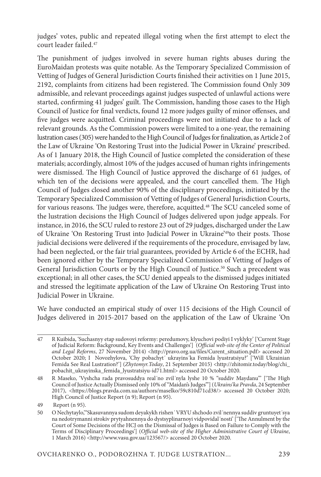judges' votes, public and repeated illegal voting when the first attempt to elect the court leader failed.47

The punishment of judges involved in severe human rights abuses during the EuroMaidan protests was quite notable. As the Temporary Specialized Commission of Vetting of Judges of General Jurisdiction Courts finished their activities on 1 June 2015, 2192, complaints from citizens had been registered. The Commission found Only 309 admissible, and relevant proceedings against judges suspected of unlawful actions were started, confirming 41 judges' guilt. The Commission, handing those cases to the High Council of Justice for final verdicts, found 12 more judges guilty of minor offenses, and five judges were acquitted. Criminal proceedings were not initiated due to a lack of relevant grounds. As the Commission powers were limited to a one-year, the remaining lustration cases (305) were handed to the High Council of Judges for finalization, as Article 2 of the Law of Ukraine 'On Restoring Trust into the Judicial Power in Ukraine' prescribed. As of 1 January 2018, the High Council of Justice completed the consideration of these materials; accordingly, almost 10% of the judges accused of human rights infringements were dismissed. The High Council of Justice approved the discharge of 61 judges, of which ten of the decisions were appealed, and the court cancelled them. The High Council of Judges closed another 90% of the disciplinary proceedings, initiated by the Temporary Specialized Commission of Vetting of Judges of General Jurisdiction Courts, for various reasons. The judges were, therefore, acquitted.<sup>48</sup> The SCU canceled some of the lustration decisions the High Council of Judges delivered upon judge appeals. For instance, in 2016, the SCU ruled to restore 23 out of 29 judges, discharged under the Law of Ukraine 'On Restoring Trust into Judicial Power in Ukraine'49to their posts. Those judicial decisions were delivered if the requirements of the procedure, envisaged by law, had been neglected, or the fair trial guarantees, provided by Article 6 of the ECHR, had been ignored either by the Temporary Specialized Commission of Vetting of Judges of General Jurisdiction Courts or by the High Council of Justice.<sup>50</sup> Such a precedent was exceptional; in all other cases, the SCU denied appeals to the dismissed judges initiated and stressed the legitimate application of the Law of Ukraine On Restoring Trust into Judicial Power in Ukraine.

We have conducted an empirical study of over 115 decisions of the High Council of Judges delivered in 2015-2017 based on the application of the Law of Ukraine 'On

<sup>47</sup> R Kuibida, 'Suchasnyy etap sudovoyi reformy: peredumovy, klyuchovi podiyi I vyklyky' ['Current Stage of Judicial Reform: Background, Key Events and Challenges'] (*Official web-site of the Center of Political and Legal Reforms*, 27 November 2014) <http://pravo.org.ua/files/Curent\_situation.pdf> accessed 20 October 2020; I Novozhylova, 'Chy pobachyt' ukrayins ka Femida lyustratsiyu?' ['Will Ukrainian Femida See Real Lustration?'] (*Zhytomyr.Today*, 21 September 2015) <http://zhitomir.today/blog/chi\_ pobachit\_ukrayinska\_femida\_lyustratsiyu-id71.html> accessed 20 October 2020.

<sup>48</sup> R Maseko, 'Vyshcha rada pravosuddya real΄no zvil΄nyla lyshe 10 % "suddiv Maydanu"' ['The High Council of Justice Actually Dismissed only 10% of "Maidan's Judges"'] (*Ukrains'ka Pravda*, 24 September 2017), <https://blogs.pravda.com.ua/authors/maselko/59c810d71cd38/> accessed 20 October 2020; High Council of Justice Report (n 9); Report (n 95).

<sup>49</sup> Report (n 95).

<sup>50</sup> O Nechytaylo,'"Skasuvannya sudom deyakykh rishen΄ VRYU shchodo zvil΄nennya suddiv gruntuyet΄sya na nedotrymanni strokiv prytyahnennya do dystsyplinarnoyi vidpovidal΄nosti' ['The Annulment by the Court of Some Decisions of the HCJ on the Dismissal of Judges is Based on Failure to Comply with the Terms of Disciplinary Proceedings'] (*Official web-site of the Higher Administrative Court of Ukraine*, 1 March 2016) <http://www.vasu.gov.ua/123567/> accessed 20 October 2020.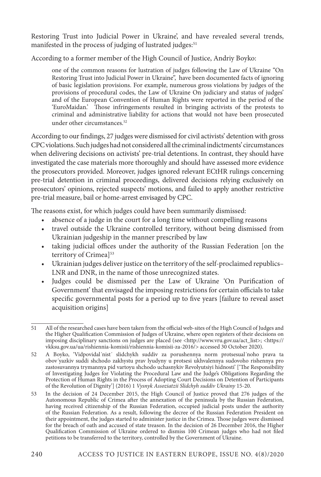Restoring Trust into Judicial Power in Ukraine', and have revealed several trends, manifested in the process of judging of lustrated judges:<sup>51</sup>

According to a former member of the High Council of Justice, Andriy Boyko:

one of the common reasons for lustration of judges following the Law of Ukraine "On Restoring Trust into Judicial Power in Ukraine", have been documented facts of ignoring of basic legislation provisions. For example, numerous gross violations by judges of the provisions of procedural codes, the Law of Ukraine On judiciary and status of judges' and of the European Convention of Human Rights were reported in the period of the 'EuroMaidan.' Those infringements resulted in bringing activists of the protests to criminal and administrative liability for actions that would not have been prosecuted under other circumstances.<sup>52</sup>

According to our findings, 27 judges were dismissed for civil activists' detention with gross CPC violations. Such judges had not considered all the criminal indictments' circumstances when delivering decisions on activists' pre-trial detentions. In contrast, they should have investigated the case materials more thoroughly and should have assessed more evidence the prosecutors provided. Moreover, judges ignored relevant ECtHR rulings concerning pre-trial detention in criminal proceedings, delivered decisions relying exclusively on prosecutors' opinions, rejected suspects' motions, and failed to apply another restrictive pre-trial measure, bail or home-arrest envisaged by CPC.

The reasons exist, for which judges could have been summarily dismissed:

- absence of a judge in the court for a long time without compelling reasons
- travel outside the Ukraine controlled territory, without being dismissed from Ukrainian judgeship in the manner prescribed by law
- taking judicial offices under the authority of the Russian Federation [on the territory of Crimea]<sup>53</sup>
- Ukrainian judges deliver justice on the territory of the self-proclaimed republics– LNR and DNR, in the name of those unrecognized states.
- Judges could be dismissed per the Law of Ukraine 'On Purification of Government' that envisaged the imposing restrictions for certain officials to take specific governmental posts for a period up to five years [failure to reveal asset acquisition origins]

<sup>51</sup> All of the researched cases have been taken from the official web-sites of the High Council of Judges and the Higher Qualification Commission of Judges of Ukraine, where open registers of their decisions on imposing disciplinary sanctions on judges are placed (see <http://www.vru.gov.ua/act\_list>; <https:// vkksu.gov.ua/ua/rishiennia-komisii/rishiennia-komisii-za-2016/> accessed 30 October 2020).

<sup>52</sup> A Boyko, 'Vidpovidal΄nist΄ slidchykh suddiv za porushennya norm protsesual΄noho prava ta obov΄yazkiv suddi shchodo zakhystu prav lyudyny u protsesi ukhvalennya sudovoho rishennya pro zastosuvannya trymannya pid vartoyu shchodo uchasnykiv Revolyutsiyi hidnosti' ['The Responsibility of Investigating Judges for Violating the Procedural Law and the Judge's Obligations Regarding the Protection of Human Rights in the Process of Adopting Court Decisions on Detention of Participants of the Revolution of Dignity'] (2016) 1 *Vysnyk Assoziatzii Slidchyh suddiv Ukrainy* 15-20.

<sup>53</sup> In the decision of 24 December 2015, the High Council of Justice proved that 276 judges of the Autonomous Republic of Crimea after the annexation of the peninsula by the Russian Federation, having received citizenship of the Russian Federation, occupied judicial posts under the authority of the Russian Federation. As a result, following the decree of the Russian Federation President on their appointment, the judges started to administer justice in the Crimea. Those judges were dismissed for the breach of oath and accused of state treason. In the decision of 26 December 2016, the Higher Qualification Commission of Ukraine ordered to dismiss 100 Crimean judges who had not filed petitions to be transferred to the territory, controlled by the Government of Ukraine.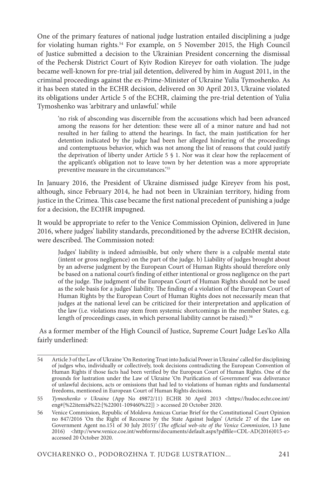One of the primary features of national judge lustration entailed disciplining a judge for violating human rights.<sup>54</sup> For example, on 5 November 2015, the High Council of Justice submitted a decision to the Ukrainian President concerning the dismissal of the Pechersk District Court of Kyiv Rodion Kireyev for oath violation. The judge became well-known for pre-trial jail detention, delivered by him in August 2011, in the criminal proceedings against the ex-Prime-Minister of Ukraine Yulia Tymoshenko. As it has been stated in the ECHR decision, delivered on 30 April 2013, Ukraine violated its obligations under Article 5 of the ECHR, claiming the pre-trial detention of Yulia Tymoshenko was 'arbitrary and unlawful.' while

'no risk of absconding was discernible from the accusations which had been advanced among the reasons for her detention: these were all of a minor nature and had not resulted in her failing to attend the hearings. In fact, the main justification for her detention indicated by the judge had been her alleged hindering of the proceedings and contemptuous behavior, which was not among the list of reasons that could justify the deprivation of liberty under Article 5 § 1. Nor was it clear how the replacement of the applicant's obligation not to leave town by her detention was a more appropriate preventive measure in the circumstances.'55

In January 2016, the President of Ukraine dismissed judge Kireyev from his post, although, since February 2014, he had not been in Ukrainian territory, hiding from justice in the Crimea. This case became the first national precedent of punishing a judge for a decision, the ECtHR impugned.

It would be appropriate to refer to the Venice Commission Opinion, delivered in June 2016, where judges' liability standards, preconditioned by the adverse ECtHR decision, were described. The Commission noted:

Judges' liability is indeed admissible, but only where there is a culpable mental state (intent or gross negligence) on the part of the judge. b) Liability of judges brought about by an adverse judgment by the European Court of Human Rights should therefore only be based on a national court's finding of either intentional or gross negligence on the part of the judge. The judgment of the European Court of Human Rights should not be used as the sole basis for a judges' liability. The finding of a violation of the European Court of Human Rights by the European Court of Human Rights does not necessarily mean that judges at the national level can be criticized for their interpretation and application of the law (i.e. violations may stem from systemic shortcomings in the member States, e.g. length of proceedings cases, in which personal liability cannot be raised).<sup>56</sup>

 As a former member of the High Council of Justice, Supreme Court Judge Les'ko Alla fairly underlined:

<sup>54</sup> Article 3 of the Law of Ukraine 'On Restoring Trust into Judicial Power in Ukraine' called for disciplining of judges who, individually or collectively, took decisions contradicting the European Convention of Human Rights if those facts had been verified by the European Court of Human Rights. One of the grounds for lustration under the Law of Ukraine 'On Purification of Government' was deliverance of unlawful decisions, acts or omissions that had led to violations of human rights and fundamental freedoms, mentioned in European Court of Human Rights decisions.

<sup>55</sup> *Tymoshenko v Ukraine* (App No 49872/11) ECHR 30 April 2013 <https://hudoc.echr.coe.int/ eng#{%22itemid%22:[%22001-109460%22]} > accessed 20 October 2020.

<sup>56</sup> Venice Commission, Republic of Moldova Amicus Curiae Brief for the Constitutional Court Opinion no 847/2016 'On the Right of Recourse by the State Against Judges' (Article 27 of the Law on Government Agent no.151 of 30 July 2015)' (*The official web-site of the Venice Commission*, 13 June 2016) <http://www.venice.coe.int/webforms/documents/default.aspx?pdffile=CDL-AD(2016)015-e> accessed 20 October 2020.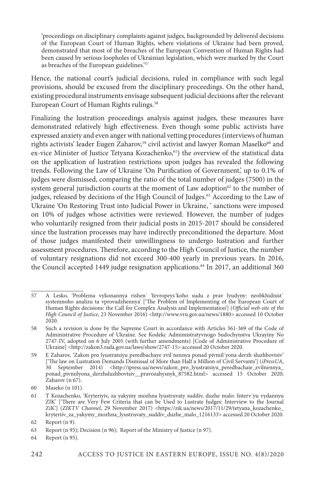'proceedings on disciplinary complaints against judges, backgrounded by delivered decisions of the European Court of Human Rights, where violations of Ukraine had been proved, demonstrated that most of the breaches of the European Convention of Human Rights had been caused by serious loopholes of Ukrainian legislation, which were marked by the Court as breaches of the European guidelines.'57

Hence, the national court's judicial decisions, ruled in compliance with such legal provisions, should be excused from the disciplinary proceedings. On the other hand, existing procedural instruments envisage subsequent judicial decisions after the relevant European Court of Human Rights rulings.<sup>58</sup>

Finalizing the lustration proceedings analysis against judges, these measures have demonstrated relatively high effectiveness. Even though some public activists have expressed anxiety and even anger with national vetting procedures (interviews of human rights activists' leader Eugen Zaharov,<sup>59</sup> civil activist and lawyer Roman Maselko<sup>60</sup> and ex-vice Minister of Justice Tetyana Kozachenko,<sup>61</sup>) the overview of the statistical data on the application of lustration restrictions upon judges has revealed the following trends. Following the Law of Ukraine 'On Purification of Government,' up to 0.1% of judges were dismissed, comparing the ratio of the total number of judges (7500) in the system general jurisdiction courts at the moment of Law adoption $62$  to the number of judges, released by decisions of the High Council of Judges.<sup>63</sup> According to the Law of Ukraine 'On Restoring Trust into Judicial Power in Ukraine, ' sanctions were imposed on 10% of judges whose activities were reviewed. However, the number of judges who voluntarily resigned from their judicial posts in 2015-2017 should be considered since the lustration processes may have indirectly preconditioned the departure. Most of those judges manifested their unwillingness to undergo lustration and further assessment procedures. Therefore, according to the High Council of Justice, the number of voluntary resignations did not exceed 300-400 yearly in previous years. In 2016, the Council accepted 1449 judge resignation applications.<sup>64</sup> In 2017, an additional 360

<sup>57</sup> A Lesko, 'Problema vykonannya rishen΄ Yevropeys΄koho sudu z prav lyudyny: neobkhidnist΄ systemnoho analizu ta vprovadzhennya' ['The Problem of Implementing of the European Court of Human Rights decisions: the Call for Complex Analysis and Implementation'] (*Official web-site of the High Council of Justice*, 23 November 2016) <http://www.vru.gov.ua/news/1880> accessed 10 October 2020.

<sup>58</sup> Such a revision is done by the Supreme Court in accordance with Articles 361-369 of the Code of Administrative Procedure of Ukraine. See Kodekc Admimistratyvnogo Sudochynstva Ukrayiny No 2747-IV, adopted on 6 July 2005 (with further amendments) [Code of Administrative Procedure of Ukraine] <http://zakon3.rada.gov.ua/laws/show/2747-15> accessed 20 October 2020.

<sup>59</sup> E Zaharov, 'Zakon pro lyustratsiyu peredbachaye zvil΄nennya ponad pivmil΄yona derzh sluzhbovtsiv' ['The law on Lustration Demands Dismissal of More than Half a Million of Civil Servants'] (*iPressUA*, 30 September 2014) <http://ipress.ua/news/zakon\_pro\_lyustratsiyu\_peredbachaie\_zvilnennya\_ ponad\_pivmilyona\_derzhsluzhbovtsiv\_\_pravozahysnyk\_87582.html> accessed 15 October 2020; Zaharov (n 67).

<sup>60</sup> Maseko (n 101).

<sup>61</sup> T Kozachenko, 'Kryteriyiv, za yakymy mozhna lyustruvaty suddiv, duzhe malo: Interv΄yu vydannyu ZIK' ['There are Very Few Criteria that can be Used to Lustrate Judges: Interview to the Journal ZiK'] (*ZIKTV Channel*, 29 November 2017) <https://zik.ua/news/2017/11/29/tetyana\_kozachenko\_ kryteriiv\_za\_yakymy\_mozhna\_lyustruvaty\_suddiv\_duzhe\_malo\_1216133> accessed 20 October 2020.

<sup>62</sup> Report (n 9).

<sup>63</sup> Report (n 95); Decision (n 96); Report of the Ministry of Justice (n 97).

<sup>64</sup> Report (n 95).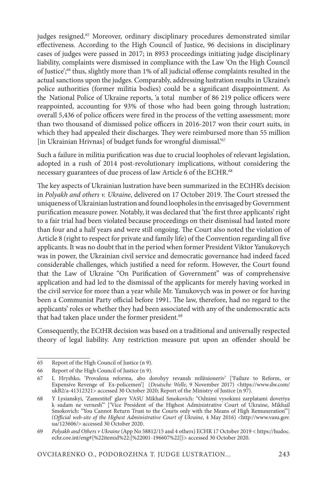judges resigned.<sup>65</sup> Moreover, ordinary disciplinary procedures demonstrated similar effectiveness. According to the High Council of Justice, 96 decisions in disciplinary cases of judges were passed in 2017; in 8953 proceedings initiating judge disciplinary liability, complaints were dismissed in compliance with the Law 'On the High Council of Justice';66 thus, slightly more than 1% of all judicial offense complaints resulted in the actual sanctions upon the judges. Comparably, addressing lustration results in Ukraine's police authorities (former militia bodies) could be a significant disappointment. As the National Police of Ukraine reports, 'a total number of 86 219 police officers were reappointed, accounting for 93% of those who had been going through lustration; overall 5,436 of police officers were fired in the process of the vetting assessment; more than two thousand of dismissed police officers in 2016-2017 won their court suits, in which they had appealed their discharges. They were reimbursed more than 55 million [in Ukrainian Hrivnas] of budget funds for wrongful dismissal.<sup>'67</sup>

Such a failure in militia purification was due to crucial loopholes of relevant legislation, adopted in a rush of 2014 post-revolutionary implications, without considering the necessary guarantees of due process of law Article 6 of the ECHR.<sup>68</sup>

The key aspects of Ukrainian lustration have been summarized in the ECtHR's decision in *Polyakh and others v. Ukraine*, delivered on 17 October 2019. The Court stressed the uniqueness of Ukrainian lustration and found loopholes in the envisaged by Government purification measure power. Notably, it was declared that 'the first three applicants' right to a fair trial had been violated because proceedings on their dismissal had lasted more than four and a half years and were still ongoing. The Court also noted the violation of Article 8 (right to respect for private and family life) of the Convention regarding all five applicants. It was no doubt that in the period when former President Viktor Yanukovych was in power, the Ukrainian civil service and democratic governance had indeed faced considerable challenges, which justified a need for reform. However, the Court found that the Law of Ukraine "On Purification of Government" was of comprehensive application and had led to the dismissal of the applicants for merely having worked in the civil service for more than a year while Mr. Yanukovych was in power or for having been a Communist Party official before 1991. The law, therefore, had no regard to the applicants' roles or whether they had been associated with any of the undemocratic acts that had taken place under the former president.<sup>69</sup>

Consequently, the ECtHR decision was based on a traditional and universally respected theory of legal liability. Any restriction measure put upon an offender should be

<sup>65</sup> Report of the High Council of Justice (n 9).

<sup>66</sup> Report of the High Council of Justice (n 9).

<sup>67</sup> L Hryshko, 'Provalena reforma, abo dorohyy revansh militsioneriv' ['Failure to Reform, or Expensive Revenge of Ex-policemen'] (*Deutsche Welle*, 9 November 2017) <https://www.dw.com/ ukB2/a-41312321> accessed 30 October 2020; Report of the Ministry of Justice (n 97).

<sup>68</sup> Y Lysianskyi, 'Zamestitel' glavy VASU Mikhail Smokovich: "Odnimi vysokimi zarplatami doveriya k sudam ne vernesh'" ['Vice President of the Highest Administrative Court of Ukraine, Mikhail Smokovich: "You Cannot Return Trust to the Courts only with the Means of High Remuneration"'] (*Official web-site of the Highest Administrative Court of Ukraine*, 4 May 2016) <http://www.vasu.gov. ua/123606/> accessed 30 October 2020.

<sup>69</sup> *Polyakh and Others v Ukraine* (App No 58812/15 and 4 others) ECHR 17 October 2019 < https://hudoc. echr.coe.int/eng#{%22itemid%22:[%22001-196607%22]}> accessed 30 October 2020.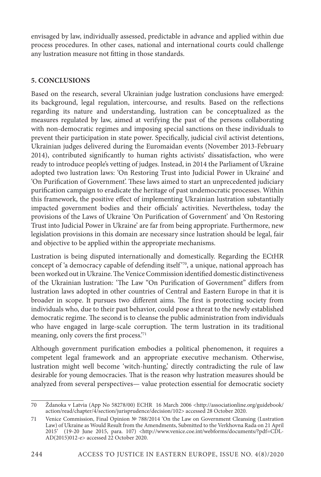envisaged by law, individually assessed, predictable in advance and applied within due process procedures. In other cases, national and international courts could challenge any lustration measure not fitting in those standards.

## **5. CONCLUSIONS**

Based on the research, several Ukrainian judge lustration conclusions have emerged: its background, legal regulation, intercourse, and results. Based on the reflections regarding its nature and understanding, lustration can be conceptualized as the measures regulated by law, aimed at verifying the past of the persons collaborating with non-democratic regimes and imposing special sanctions on these individuals to prevent their participation in state power. Specifically, judicial civil activist detentions, Ukrainian judges delivered during the Euromaidan events (November 2013-February 2014), contributed significantly to human rights activists' dissatisfaction, who were ready to introduce people's vetting of judges. Instead, in 2014 the Parliament of Ukraine adopted two lustration laws: 'On Restoring Trust into Judicial Power in Ukraine' and 'On Purification of Government'. These laws aimed to start an unprecedented judiciary purification campaign to eradicate the heritage of past undemocratic processes. Within this framework, the positive effect of implementing Ukrainian lustration substantially impacted government bodies and their officials' activities. Nevertheless, today the provisions of the Laws of Ukraine 'On Purification of Government' and 'On Restoring Trust into Judicial Power in Ukraine' are far from being appropriate. Furthermore, new legislation provisions in this domain are necessary since lustration should be legal, fair and objective to be applied within the appropriate mechanisms.

Lustration is being disputed internationally and domestically. Regarding the ECtHR concept of 'a democracy capable of defending itself<sup>770</sup>, a unique, national approach has been worked out in Ukraine. The Venice Commission identified domestic distinctiveness of the Ukrainian lustration: 'The Law "On Purification of Government" differs from lustration laws adopted in other countries of Central and Eastern Europe in that it is broader in scope. It pursues two different aims. The first is protecting society from individuals who, due to their past behavior, could pose a threat to the newly established democratic regime. The second is to cleanse the public administration from individuals who have engaged in large-scale corruption. The term lustration in its traditional meaning, only covers the first process.'71

Although government purification embodies a political phenomenon, it requires a competent legal framework and an appropriate executive mechanism. Otherwise, lustration might well become 'witch-hunting,' directly contradicting the rule of law desirable for young democracies. That is the reason why lustration measures should be analyzed from several perspectives— value protection essential for democratic society

<sup>70</sup> Ždanoka v Latvia (App No 58278/00) ECHR 16 March 2006 <http://associationline.org/guidebook/ action/read/chapter/4/section/jurisprudence/decision/102> accessed 28 October 2020.

<sup>71</sup> Venice Commission, Final Opinion № 788/2014 'On the Law on Government Cleansing (Lustration Law) of Ukraine as Would Result from the Amendments, Submitted to the Verkhovna Rada on 21 April 2015' (19-20 June 2015, para. 107) <http://www.venice.coe.int/webforms/documents/?pdf=CDL-AD(2015)012-e> accessed 22 October 2020.